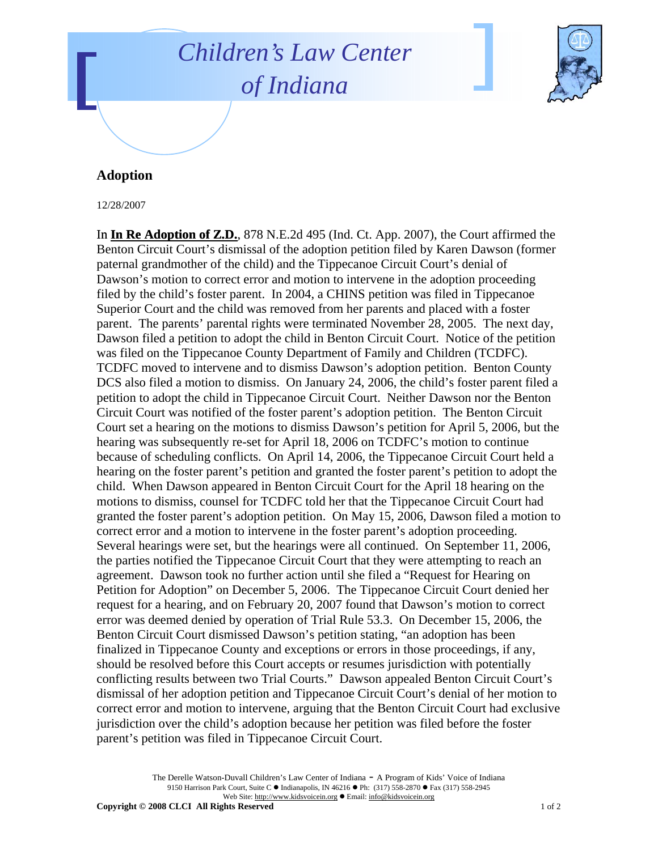## *Children's Law Center of Indiana*



## **Adoption**

12/28/2007

In **In Re Adoption of Z.D.**, 878 N.E.2d 495 (Ind. Ct. App. 2007), the Court affirmed the Benton Circuit Court's dismissal of the adoption petition filed by Karen Dawson (former paternal grandmother of the child) and the Tippecanoe Circuit Court's denial of Dawson's motion to correct error and motion to intervene in the adoption proceeding filed by the child's foster parent. In 2004, a CHINS petition was filed in Tippecanoe Superior Court and the child was removed from her parents and placed with a foster parent. The parents' parental rights were terminated November 28, 2005. The next day, Dawson filed a petition to adopt the child in Benton Circuit Court. Notice of the petition was filed on the Tippecanoe County Department of Family and Children (TCDFC). TCDFC moved to intervene and to dismiss Dawson's adoption petition. Benton County DCS also filed a motion to dismiss. On January 24, 2006, the child's foster parent filed a petition to adopt the child in Tippecanoe Circuit Court. Neither Dawson nor the Benton Circuit Court was notified of the foster parent's adoption petition. The Benton Circuit Court set a hearing on the motions to dismiss Dawson's petition for April 5, 2006, but the hearing was subsequently re-set for April 18, 2006 on TCDFC's motion to continue because of scheduling conflicts. On April 14, 2006, the Tippecanoe Circuit Court held a hearing on the foster parent's petition and granted the foster parent's petition to adopt the child. When Dawson appeared in Benton Circuit Court for the April 18 hearing on the motions to dismiss, counsel for TCDFC told her that the Tippecanoe Circuit Court had granted the foster parent's adoption petition. On May 15, 2006, Dawson filed a motion to correct error and a motion to intervene in the foster parent's adoption proceeding. Several hearings were set, but the hearings were all continued. On September 11, 2006, the parties notified the Tippecanoe Circuit Court that they were attempting to reach an agreement. Dawson took no further action until she filed a "Request for Hearing on Petition for Adoption" on December 5, 2006. The Tippecanoe Circuit Court denied her request for a hearing, and on February 20, 2007 found that Dawson's motion to correct error was deemed denied by operation of Trial Rule 53.3. On December 15, 2006, the Benton Circuit Court dismissed Dawson's petition stating, "an adoption has been finalized in Tippecanoe County and exceptions or errors in those proceedings, if any, should be resolved before this Court accepts or resumes jurisdiction with potentially conflicting results between two Trial Courts." Dawson appealed Benton Circuit Court's dismissal of her adoption petition and Tippecanoe Circuit Court's denial of her motion to correct error and motion to intervene, arguing that the Benton Circuit Court had exclusive jurisdiction over the child's adoption because her petition was filed before the foster parent's petition was filed in Tippecanoe Circuit Court.

> The Derelle Watson-Duvall Children's Law Center of Indiana - A Program of Kids' Voice of Indiana 9150 Harrison Park Court, Suite C · Indianapolis, IN 46216 • Ph: (317) 558-2870 • Fax (317) 558-2945 Web Site: http://www.kidsvoicein.org · Email: info@kidsvoicein.org